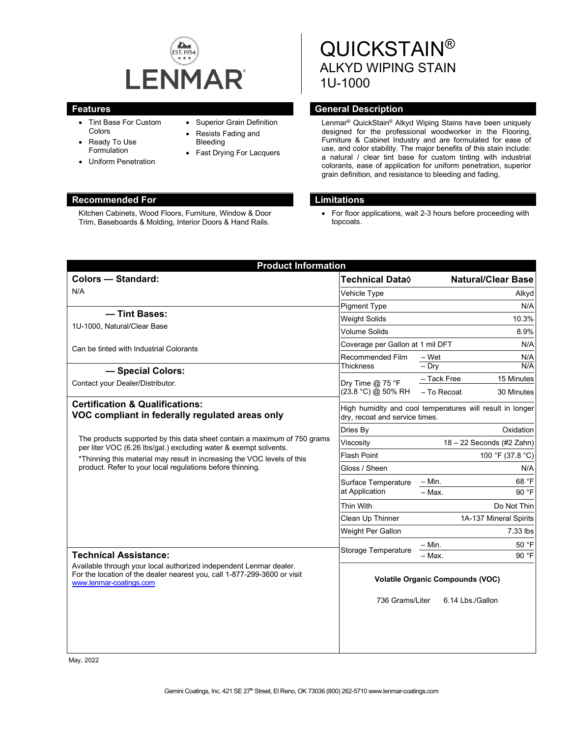

- Tint Base For Custom Colors
- Ready To Use Formulation
- Uniform Penetration
- Superior Grain Definition
- Resists Fading and Bleeding
- Fast Drying For Lacquers

#### **Recommended For Limitations**

Kitchen Cabinets, Wood Floors, Furniture, Window & Door Trim, Baseboards & Molding, Interior Doors & Hand Rails.

# QUICKSTAIN® ALKYD WIPING STAIN 1U-1000

#### **Features General Description**

Lenmar ® QuickStain® Alkyd Wiping Stains have been uniquely designed for the professional woodworker in the Flooring, Furniture & Cabinet Industry and are formulated for ease of use, and color stability. The major benefits of this stain include: a natural / clear tint base for custom tinting with industrial colorants, ease of application for uniform penetration, superior grain definition, and resistance to bleeding and fading.

• For floor applications, wait 2-3 hours before proceeding with topcoats.

| <b>Product Information</b>                                                                                                                                                                                                                                                           |                                                                                             |                           |
|--------------------------------------------------------------------------------------------------------------------------------------------------------------------------------------------------------------------------------------------------------------------------------------|---------------------------------------------------------------------------------------------|---------------------------|
| <b>Colors - Standard:</b>                                                                                                                                                                                                                                                            | Technical Data◊                                                                             | <b>Natural/Clear Base</b> |
| N/A                                                                                                                                                                                                                                                                                  | Vehicle Type                                                                                | Alkyd                     |
|                                                                                                                                                                                                                                                                                      | <b>Pigment Type</b>                                                                         | N/A                       |
| - Tint Bases:                                                                                                                                                                                                                                                                        | <b>Weight Solids</b>                                                                        | 10.3%                     |
| 1U-1000, Natural/Clear Base                                                                                                                                                                                                                                                          | Volume Solids                                                                               | 8.9%                      |
| Can be tinted with Industrial Colorants                                                                                                                                                                                                                                              | Coverage per Gallon at 1 mil DFT<br>N/A                                                     |                           |
| - Special Colors:                                                                                                                                                                                                                                                                    | Recommended Film<br><b>Thickness</b>                                                        | N/A<br>– Wet              |
|                                                                                                                                                                                                                                                                                      |                                                                                             | $-$ Drv<br>N/A            |
| Contact your Dealer/Distributor.                                                                                                                                                                                                                                                     | Dry Time $@$ 75 °F<br>(23.8 °C) @ 50% RH                                                    | - Tack Free<br>15 Minutes |
|                                                                                                                                                                                                                                                                                      |                                                                                             | - To Recoat<br>30 Minutes |
| <b>Certification &amp; Qualifications:</b><br>VOC compliant in federally regulated areas only                                                                                                                                                                                        | High humidity and cool temperatures will result in longer<br>dry, recoat and service times. |                           |
|                                                                                                                                                                                                                                                                                      | Dries By                                                                                    | Oxidation                 |
| The products supported by this data sheet contain a maximum of 750 grams<br>per liter VOC (6.26 lbs/gal.) excluding water & exempt solvents.<br>*Thinning this material may result in increasing the VOC levels of this<br>product. Refer to your local regulations before thinning. | Viscosity                                                                                   | 18 - 22 Seconds (#2 Zahn) |
|                                                                                                                                                                                                                                                                                      | <b>Flash Point</b>                                                                          | 100 °F (37.8 °C)          |
|                                                                                                                                                                                                                                                                                      | Gloss / Sheen                                                                               | N/A                       |
|                                                                                                                                                                                                                                                                                      | Surface Temperature<br>at Application                                                       | $- Min.$<br>68 °F         |
|                                                                                                                                                                                                                                                                                      |                                                                                             | $-$ Max.<br>90 °F         |
|                                                                                                                                                                                                                                                                                      | Thin With                                                                                   | Do Not Thin               |
|                                                                                                                                                                                                                                                                                      | Clean Up Thinner                                                                            | 1A-137 Mineral Spirits    |
|                                                                                                                                                                                                                                                                                      | Weight Per Gallon                                                                           | 7.33 lbs                  |
| <b>Technical Assistance:</b><br>Available through your local authorized independent Lenmar dealer.<br>For the location of the dealer nearest you, call 1-877-299-3600 or visit<br>www.lenmar-coatings.com                                                                            | Storage Temperature                                                                         | 50 °F<br>$- Min.$         |
|                                                                                                                                                                                                                                                                                      |                                                                                             | 90 °F<br>– Мах.           |
|                                                                                                                                                                                                                                                                                      | <b>Volatile Organic Compounds (VOC)</b>                                                     |                           |
|                                                                                                                                                                                                                                                                                      | 736 Grams/Liter                                                                             | 6.14 Lbs./Gallon          |

May, 2022